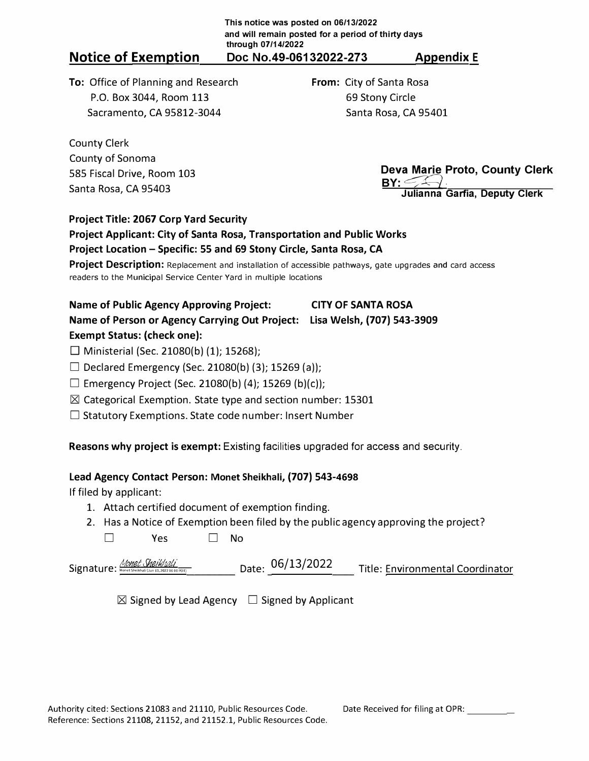**To:** Office of Planning and Research P.O. Box 3044, Room 113 Sacramento, CA 95812-3044

**From:** City of Santa Rosa 69 Stony Circle Santa Rosa, CA 95401

County Clerk County of Sonoma 585 Fiscal Drive, Room 103 Santa Rosa, CA 95403

**Deva Marie Proto, County Clerk**  <u>BY: EA-1.</u> **Julianna Garfia, Deputy Clerk** 

# **Project Title: 2067 Corp Yard Security**

### **Project Applicant: City of Santa Rosa, Transportation and Public Works Project Location - Specific: 55 and 69 Stony Circle, Santa Rosa, CA**

**Project Description:** Replacement and installation of accessible pathways, gate upgrades and card access readers to the Municipal Service Center Yard in multiple locations

# **Name of Public Agency Approving Project: CITY OF SANTA ROSA Name of Person or Agency Carrying Out Project: Lisa Welsh, (707) 543-3909 Exempt Status: (check one):**

 $\Box$  Ministerial (Sec. 21080(b) (1); 15268);

□ Declared Emergency (Sec. 21080(b) (3); 15269 (a));

□ Emergency Project (Sec. 21080(b) (4); 15269 (b)(c));

 $\boxtimes$  Categorical Exemption. State type and section number: 15301

 $\square$  Statutory Exemptions. State code number: Insert Number

**Reasons why project is exempt:** Existing facilities upgraded for access and security.

## **Lead Agency Contact Person: Monet Sheikhali, (707) 543-4698**

If filed by applicant:

- 1. Attach certified document of exemption finding.
- 2. Has a Notice of Exemption been filed by the public agency approving the project? □ Yes □ No

Signature: <u>Monet Sheikhali – Monet Sheikhali (Jun 13,2022 and Date: 06/13/2022 and also Environmental Coordinator</u>

 $\boxtimes$  Signed by Lead Agency  $\Box$  Signed by Applicant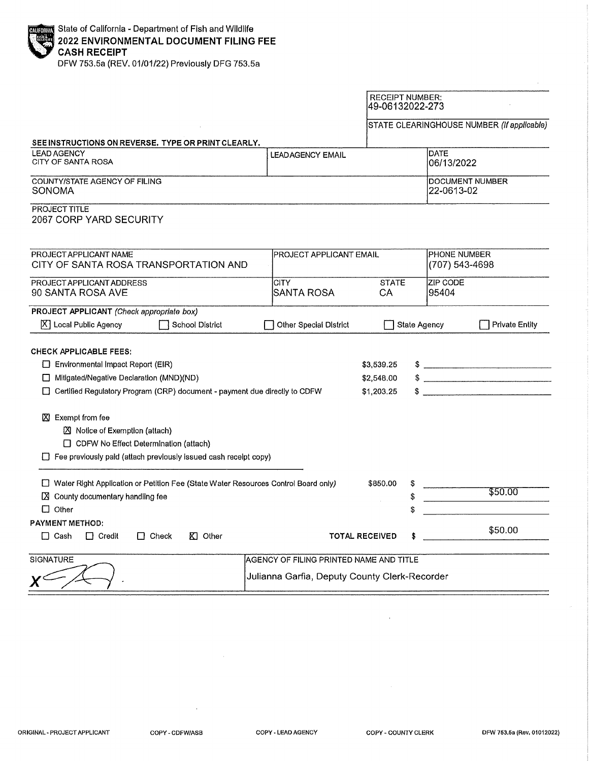| <b>ENDING State of California - Department of Fish and Wildlife<br/>2022 ENVIRONMENTAL DOCUMENT FILING FEE</b><br>CASH RECEIPT |  |  |  |  |
|--------------------------------------------------------------------------------------------------------------------------------|--|--|--|--|

DFW 753.5a (REV. 01/01/22) Previously DFG 753.5a

|                                                                                                                                                                                                       |                                               | <b>RECEIPT NUMBER:</b><br>49-06132022-273 |                                |                                                                                                                                                                                                                                                                                                                                                                                                         |  |
|-------------------------------------------------------------------------------------------------------------------------------------------------------------------------------------------------------|-----------------------------------------------|-------------------------------------------|--------------------------------|---------------------------------------------------------------------------------------------------------------------------------------------------------------------------------------------------------------------------------------------------------------------------------------------------------------------------------------------------------------------------------------------------------|--|
|                                                                                                                                                                                                       |                                               |                                           |                                | STATE CLEARINGHOUSE NUMBER (If applicable)                                                                                                                                                                                                                                                                                                                                                              |  |
| SEE INSTRUCTIONS ON REVERSE. TYPE OR PRINT CLEARLY.                                                                                                                                                   |                                               |                                           |                                |                                                                                                                                                                                                                                                                                                                                                                                                         |  |
| <b>LEAD AGENCY</b><br>CITY OF SANTA ROSA                                                                                                                                                              | <b>LEADAGENCY EMAIL</b>                       |                                           |                                | <b>DATE</b><br>06/13/2022                                                                                                                                                                                                                                                                                                                                                                               |  |
| COUNTY/STATE AGENCY OF FILING<br>SONOMA                                                                                                                                                               |                                               |                                           | 22-0613-02                     | <b>DOCUMENT NUMBER</b>                                                                                                                                                                                                                                                                                                                                                                                  |  |
| <b>PROJECT TITLE</b><br>2067 CORP YARD SECURITY                                                                                                                                                       |                                               |                                           |                                |                                                                                                                                                                                                                                                                                                                                                                                                         |  |
| PROJECT APPLICANT NAME<br>PROJECT APPLICANT EMAIL<br>CITY OF SANTA ROSA TRANSPORTATION AND                                                                                                            |                                               |                                           | PHONE NUMBER<br>(707) 543-4698 |                                                                                                                                                                                                                                                                                                                                                                                                         |  |
| PROJECT APPLICANT ADDRESS<br>90 SANTA ROSA AVE                                                                                                                                                        | <b>CITY</b><br>SANTA ROSA                     | <b>STATE</b><br>CA                        | <b>ZIP CODE</b><br>95404       |                                                                                                                                                                                                                                                                                                                                                                                                         |  |
| PROJECT APPLICANT (Check appropriate box)<br>X   Local Public Agency<br>School District                                                                                                               | Other Special District                        |                                           | <b>State Agency</b>            | <b>Private Entity</b>                                                                                                                                                                                                                                                                                                                                                                                   |  |
| <b>CHECK APPLICABLE FEES:</b><br>$\Box$ Environmental Impact Report (EIR)<br>Mitigated/Negative Declaration (MND)(ND)<br>□ Certified Regulatory Program (CRP) document - payment due directly to CDFW |                                               |                                           |                                | $\frac{1}{2}$ $\frac{1}{2}$ $\frac{1}{2}$ $\frac{1}{2}$ $\frac{1}{2}$ $\frac{1}{2}$ $\frac{1}{2}$ $\frac{1}{2}$ $\frac{1}{2}$ $\frac{1}{2}$ $\frac{1}{2}$ $\frac{1}{2}$ $\frac{1}{2}$ $\frac{1}{2}$ $\frac{1}{2}$ $\frac{1}{2}$ $\frac{1}{2}$ $\frac{1}{2}$ $\frac{1}{2}$ $\frac{1}{2}$ $\frac{1}{2}$ $\frac{1}{2}$<br>$\begin{array}{c} \updownarrow \\ \updownarrow \end{array}$<br>$\textcircled{f}$ |  |
| <b>区</b> Exempt from fee<br>Notice of Exemption (attach)<br>CDFW No Effect Determination (attach)<br>$\Box$ Fee previously paid (attach previously issued cash receipt copy)                          |                                               |                                           |                                |                                                                                                                                                                                                                                                                                                                                                                                                         |  |
| □ Water Right Application or Petition Fee (State Water Resources Control Board only)<br>X County documentary handling fee<br>$\Box$ Other                                                             |                                               | \$850.00                                  |                                | \$50.00                                                                                                                                                                                                                                                                                                                                                                                                 |  |
| <b>PAYMENT METHOD:</b><br>$\Box$ Credit<br>$\Box$ Check<br>$K1$ Other<br>$\Box$ Cash                                                                                                                  |                                               | <b>TOTAL RECEIVED</b>                     |                                | \$50.00                                                                                                                                                                                                                                                                                                                                                                                                 |  |
| <b>SIGNATURE</b><br>AGENCY OF FILING PRINTED NAME AND TITLE                                                                                                                                           |                                               |                                           |                                |                                                                                                                                                                                                                                                                                                                                                                                                         |  |
|                                                                                                                                                                                                       | Julianna Garfia, Deputy County Clerk-Recorder |                                           |                                |                                                                                                                                                                                                                                                                                                                                                                                                         |  |

COPY-CDFW/ASB

 $\bar{z}$ 

 $\hat{\mathcal{L}}$ 

 $\mathcal{A}$